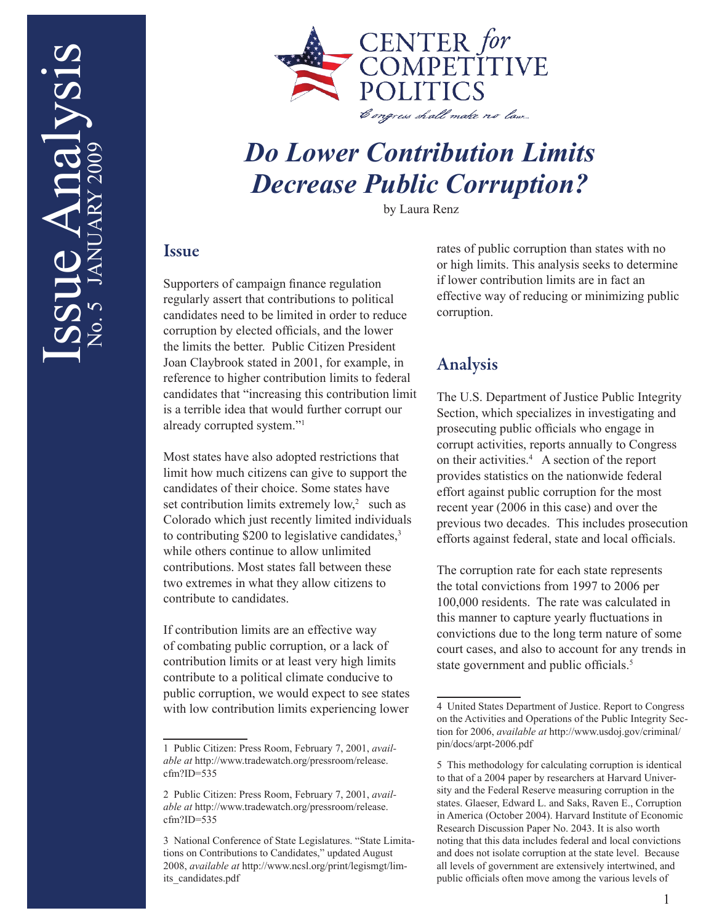

## *Do Lower Contribution Limits Decrease Public Corruption?*

by Laura Renz

## Issue

Supporters of campaign finance regulation regularly assert that contributions to political candidates need to be limited in order to reduce corruption by elected officials, and the lower the limits the better. Public Citizen President Joan Claybrook stated in 2001, for example, in reference to higher contribution limits to federal candidates that "increasing this contribution limit is a terrible idea that would further corrupt our already corrupted system."1

Most states have also adopted restrictions that limit how much citizens can give to support the candidates of their choice. Some states have set contribution limits extremely  $low$ , such as Colorado which just recently limited individuals to contributing \$200 to legislative candidates, $3<sup>3</sup>$ while others continue to allow unlimited contributions. Most states fall between these two extremes in what they allow citizens to contribute to candidates.

If contribution limits are an effective way of combating public corruption, or a lack of contribution limits or at least very high limits contribute to a political climate conducive to public corruption, we would expect to see states with low contribution limits experiencing lower

rates of public corruption than states with no or high limits. This analysis seeks to determine if lower contribution limits are in fact an effective way of reducing or minimizing public corruption.

## Analysis

The U.S. Department of Justice Public Integrity Section, which specializes in investigating and prosecuting public officials who engage in corrupt activities, reports annually to Congress on their activities.4 A section of the report provides statistics on the nationwide federal effort against public corruption for the most recent year (2006 in this case) and over the previous two decades. This includes prosecution efforts against federal, state and local officials.

The corruption rate for each state represents the total convictions from 1997 to 2006 per 100,000 residents. The rate was calculated in this manner to capture yearly fluctuations in convictions due to the long term nature of some court cases, and also to account for any trends in state government and public officials.<sup>5</sup>

<sup>1</sup> Public Citizen: Press Room, February 7, 2001, *available at* http://www.tradewatch.org/pressroom/release. cfm?ID=535

<sup>2</sup> Public Citizen: Press Room, February 7, 2001, *available at* http://www.tradewatch.org/pressroom/release. cfm?ID=535

<sup>3</sup> National Conference of State Legislatures. "State Limitations on Contributions to Candidates," updated August 2008, *available at* http://www.ncsl.org/print/legismgt/limits\_candidates.pdf

<sup>4</sup> United States Department of Justice. Report to Congress on the Activities and Operations of the Public Integrity Section for 2006, *available at* http://www.usdoj.gov/criminal/ pin/docs/arpt-2006.pdf

<sup>5</sup> This methodology for calculating corruption is identical to that of a 2004 paper by researchers at Harvard University and the Federal Reserve measuring corruption in the states. Glaeser, Edward L. and Saks, Raven E., Corruption in America (October 2004). Harvard Institute of Economic Research Discussion Paper No. 2043. It is also worth noting that this data includes federal and local convictions and does not isolate corruption at the state level. Because all levels of government are extensively intertwined, and public officials often move among the various levels of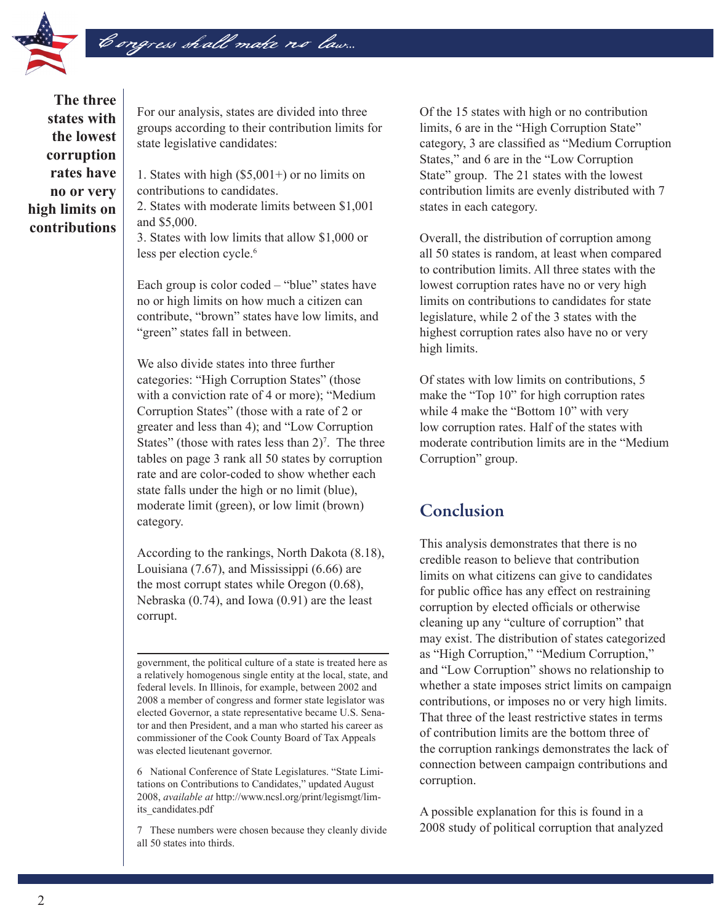

**The three states with the lowest corruption rates have no or very high limits on contributions** 

For our analysis, states are divided into three groups according to their contribution limits for state legislative candidates:

1. States with high (\$5,001+) or no limits on contributions to candidates.

2. States with moderate limits between \$1,001 and \$5,000.

3. States with low limits that allow \$1,000 or less per election cycle.<sup>6</sup>

Each group is color coded – "blue" states have no or high limits on how much a citizen can contribute, "brown" states have low limits, and "green" states fall in between.

We also divide states into three further categories: "High Corruption States" (those with a conviction rate of 4 or more); "Medium Corruption States" (those with a rate of 2 or greater and less than 4); and "Low Corruption States" (those with rates less than  $2$ )<sup>7</sup>. The three tables on page 3 rank all 50 states by corruption rate and are color-coded to show whether each state falls under the high or no limit (blue), moderate limit (green), or low limit (brown) category.

According to the rankings, North Dakota (8.18), Louisiana (7.67), and Mississippi (6.66) are the most corrupt states while Oregon (0.68), Nebraska (0.74), and Iowa (0.91) are the least corrupt.

government, the political culture of a state is treated here as a relatively homogenous single entity at the local, state, and federal levels. In Illinois, for example, between 2002 and 2008 a member of congress and former state legislator was elected Governor, a state representative became U.S. Senator and then President, and a man who started his career as commissioner of the Cook County Board of Tax Appeals was elected lieutenant governor.

6 National Conference of State Legislatures. "State Limitations on Contributions to Candidates," updated August 2008, *available at* http://www.ncsl.org/print/legismgt/limits\_candidates.pdf

7 These numbers were chosen because they cleanly divide all 50 states into thirds.

Of the 15 states with high or no contribution limits, 6 are in the "High Corruption State" category, 3 are classified as "Medium Corruption States," and 6 are in the "Low Corruption State" group. The 21 states with the lowest contribution limits are evenly distributed with 7 states in each category.

Overall, the distribution of corruption among all 50 states is random, at least when compared to contribution limits. All three states with the lowest corruption rates have no or very high limits on contributions to candidates for state legislature, while 2 of the 3 states with the highest corruption rates also have no or very high limits.

Of states with low limits on contributions, 5 make the "Top 10" for high corruption rates while 4 make the "Bottom 10" with very low corruption rates. Half of the states with moderate contribution limits are in the "Medium Corruption" group.

## Conclusion

This analysis demonstrates that there is no credible reason to believe that contribution limits on what citizens can give to candidates for public office has any effect on restraining corruption by elected officials or otherwise cleaning up any "culture of corruption" that may exist. The distribution of states categorized as "High Corruption," "Medium Corruption," and "Low Corruption" shows no relationship to whether a state imposes strict limits on campaign contributions, or imposes no or very high limits. That three of the least restrictive states in terms of contribution limits are the bottom three of the corruption rankings demonstrates the lack of connection between campaign contributions and corruption.

A possible explanation for this is found in a 2008 study of political corruption that analyzed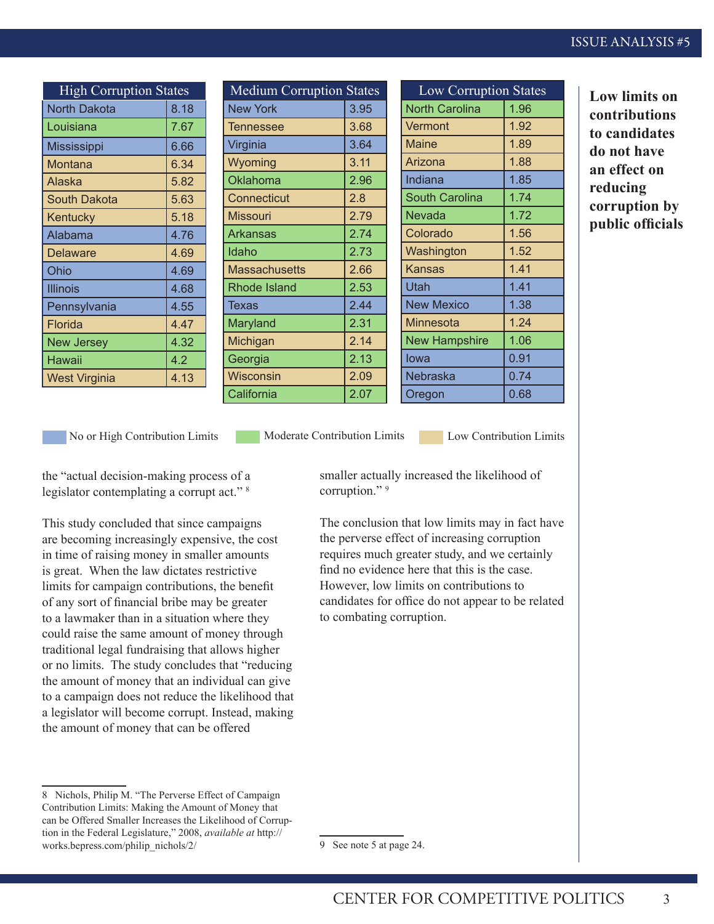| <b>High Corruption States</b> |      | <b>Medium Corruption States</b> |      | <b>Low Corruption States</b> |      |
|-------------------------------|------|---------------------------------|------|------------------------------|------|
| <b>North Dakota</b>           | 8.18 | <b>New York</b>                 | 3.95 | <b>North Carolina</b>        | 1.96 |
| Louisiana                     | 7.67 | Tennessee                       | 3.68 | Vermont                      | 1.92 |
| <b>Mississippi</b>            | 6.66 | Virginia                        | 3.64 | <b>Maine</b>                 | 1.89 |
| Montana                       | 6.34 | Wyoming                         | 3.11 | Arizona                      | 1.88 |
| Alaska                        | 5.82 | Oklahoma                        | 2.96 | Indiana                      | 1.85 |
| South Dakota                  | 5.63 | Connecticut                     | 2.8  | <b>South Carolina</b>        | 1.74 |
| Kentucky                      | 5.18 | <b>Missouri</b>                 | 2.79 | <b>Nevada</b>                | 1.72 |
| Alabama                       | 4.76 | <b>Arkansas</b>                 | 2.74 | Colorado                     | 1.56 |
| <b>Delaware</b>               | 4.69 | Idaho                           | 2.73 | Washington                   | 1.52 |
| Ohio                          | 4.69 | <b>Massachusetts</b>            | 2.66 | <b>Kansas</b>                | 1.41 |
| <b>Illinois</b>               | 4.68 | Rhode Island                    | 2.53 | <b>Utah</b>                  | 1.41 |
| Pennsylvania                  | 4.55 | Texas                           | 2.44 | <b>New Mexico</b>            | 1.38 |
| Florida                       | 4.47 | Maryland                        | 2.31 | Minnesota                    | 1.24 |
| <b>New Jersey</b>             | 4.32 | Michigan                        | 2.14 | <b>New Hampshire</b>         | 1.06 |
| Hawaii                        | 4.2  | Georgia                         | 2.13 | lowa                         | 0.91 |
| <b>West Virginia</b>          | 4.13 | <b>Wisconsin</b>                | 2.09 | Nebraska                     | 0.74 |
|                               |      | California                      | 2.07 | Oregon                       | 0.68 |

**Low limits on contributions to candidates d** not have **an effect on reducing corruption by public officials**

No or High Contribution Limits Moderate Contribution Limits Low Contribution Limits

the "actual decision-making process of a legislator contemplating a corrupt act."<sup>8</sup>

This study concluded that since campaigns are becoming increasingly expensive, the cost in time of raising money in smaller amounts is great. When the law dictates restrictive limits for campaign contributions, the benefit of any sort of financial bribe may be greater to a lawmaker than in a situation where they could raise the same amount of money through traditional legal fundraising that allows higher or no limits. The study concludes that "reducing the amount of money that an individual can give to a campaign does not reduce the likelihood that a legislator will become corrupt. Instead, making the amount of money that can be offered

smaller actually increased the likelihood of corruption."<sup>9</sup>

The conclusion that low limits may in fact have the perverse effect of increasing corruption requires much greater study, and we certainly find no evidence here that this is the case. However, low limits on contributions to candidates for office do not appear to be related to combating corruption.

<sup>8</sup> Nichols, Philip M. "The Perverse Effect of Campaign Contribution Limits: Making the Amount of Money that can be Offered Smaller Increases the Likelihood of Corruption in the Federal Legislature," 2008, *available at* http:// works.bepress.com/philip\_nichols/2/

<sup>9</sup> See note 5 at page 24.